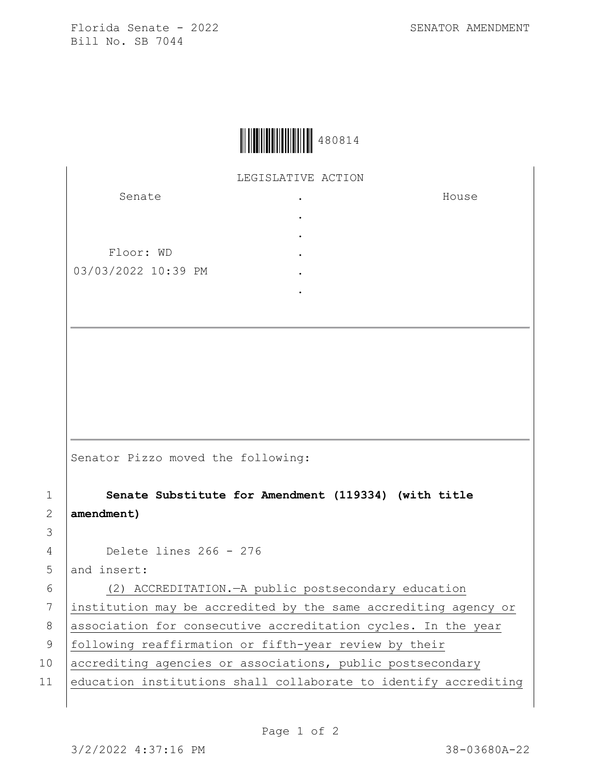Florida Senate - 2022 SENATOR AMENDMENT Bill No. SB 7044

House



LEGISLATIVE ACTION

. . . . . .

Senate

Floor: WD 03/03/2022 10:39 PM

Senator Pizzo moved the following:

1 **Senate Substitute for Amendment (119334) (with title**  2 **amendment)**

4 Delete lines 266 - 276

5 and insert:

3

6 (2) ACCREDITATION.—A public postsecondary education 7 institution may be accredited by the same accrediting agency or 8 | association for consecutive accreditation cycles. In the year 9 | following reaffirmation or fifth-year review by their 10 accrediting agencies or associations, public postsecondary 11 education institutions shall collaborate to identify accrediting